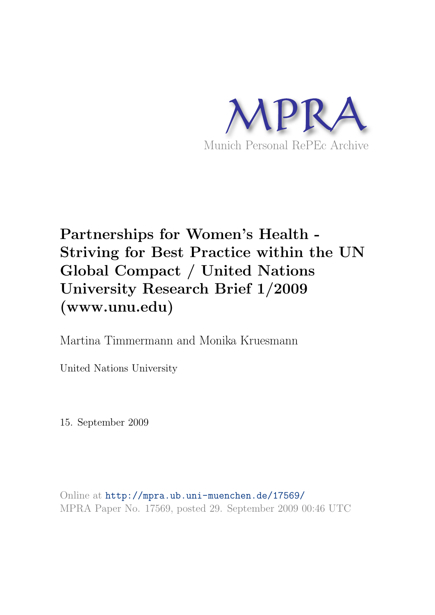

# Partnerships for Women's Health - Striving for Best Practice within the UN Global Compact / United Nations University Research Brief 1/2009 (www.unu.edu)

Martina Timmermann and Monika Kruesmann

United Nations University

15. September 2009

Online at <http://mpra.ub.uni-muenchen.de/17569/> MPRA Paper No. 17569, posted 29. September 2009 00:46 UTC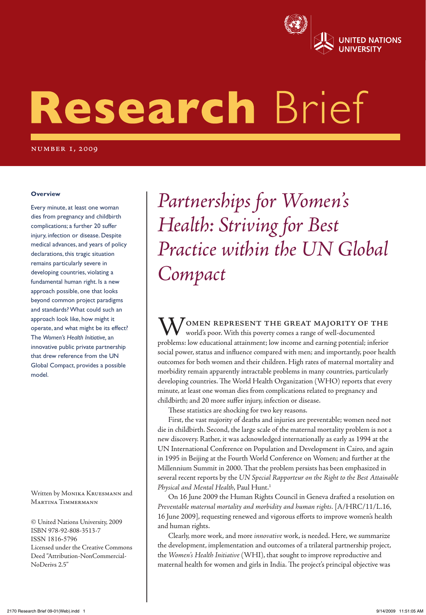

# Research Brief

number 1, 2009

#### **Overview**

Every minute, at least one woman dies from pregnancy and childbirth complications; a further 20 suffer injury, infection or disease. Despite medical advances, and years of policy declarations, this tragic situation remains particularly severe in developing countries, violating a fundamental human right. Is a new approach possible, one that looks beyond common project paradigms and standards? What could such an approach look like, how might it operate, and what might be its effect? The *Women's Health Initiative,* an innovative public private partnership that drew reference from the UN Global Compact, provides a possible model.

Written by MONIKA KRUESMANN and MARTINA TIMMERMANN

© United Nations University, 2009 ISBN 978-92-808-3513-7 ISSN 1816-5796 Licensed under the Creative Commons Deed "Attribution-NonCommercial-NoDerivs 2.5"

*Partnerships for Women's Health: Striving for Best Practice within the UN Global Compact*

**N** / OMEN REPRESENT THE GREAT MAJORITY OF THE world's poor. With this poverty comes a range of well-documented problems: low educational attainment; low income and earning potential; inferior social power, status and influence compared with men; and importantly, poor health outcomes for both women and their children. High rates of maternal mortality and morbidity remain apparently intractable problems in many countries, particularly developing countries. The World Health Organization (WHO) reports that every minute, at least one woman dies from complications related to pregnancy and childbirth; and 20 more suffer injury, infection or disease.

These statistics are shocking for two key reasons.

*Partnerships for Women's Health: Striving for Best Practice within the UN Global Compact* 1

First, the vast majority of deaths and injuries are preventable; women need not die in childbirth. Second, the large scale of the maternal mortality problem is not a new discovery. Rather, it was acknowledged internationally as early as 1994 at the UN International Conference on Population and Development in Cairo, and again in 1995 in Beijing at the Fourth World Conference on Women; and further at the Millennium Summit in 2000. That the problem persists has been emphasized in several recent reports by the *UN Special Rapporteur on the Right to the Best Attainable Physical and Mental Health*, Paul Hunt.1

On 16 June 2009 the Human Rights Council in Geneva drafted a resolution on *Preventable maternal mortality and morbidity and human rights.* [A/HRC/11/L.16, 16 June 2009], requesting renewed and vigorous efforts to improve women's health and human rights.

Clearly, more work, and more *innovative* work, is needed. Here, we summarize the development, implementation and outcomes of a trilateral partnership project, the *Women's Health Initiative* (WHI), that sought to improve reproductive and maternal health for women and girls in India. The project's principal objective was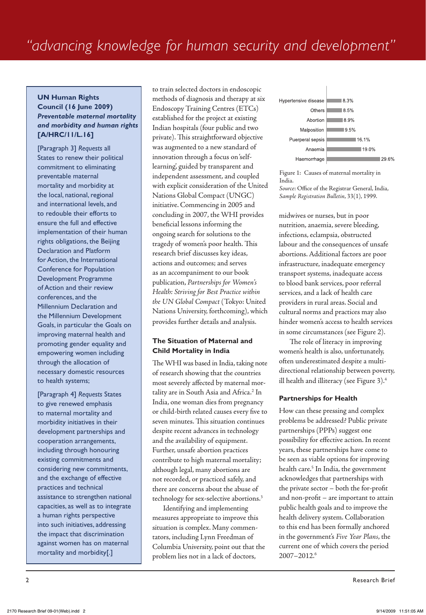#### **UN Human Rights Council (16 June 2009)** *Preventable maternal mortality and morbidity and human rights* **[A/HRC/11/L.16]**

[Paragraph 3] *Requests* all States to renew their political commitment to eliminating preventable maternal mortality and morbidity at the local, national, regional and international levels, and to redouble their efforts to ensure the full and effective implementation of their human rights obligations, the Beijing Declaration and Platform for Action, the International Conference for Population Development Programme of Action and their review conferences, and the Millennium Declaration and the Millennium Development Goals, in particular the Goals on improving maternal health and promoting gender equality and empowering women including through the allocation of necessary domestic resources to health systems;

[Paragraph 4] *Requests* States to give renewed emphasis to maternal mortality and morbidity initiatives in their development partnerships and cooperation arrangements, including through honouring existing commitments and considering new commitments, and the exchange of effective practices and technical assistance to strengthen national capacities, as well as to integrate a human rights perspective into such initiatives, addressing the impact that discrimination against women has on maternal mortality and morbidity[.]

to train selected doctors in endoscopic methods of diagnosis and therapy at six Endoscopy Training Centres (ETCs) established for the project at existing Indian hospitals (four public and two private). This straightforward objective was augmented to a new standard of innovation through a focus on 'selflearning', guided by transparent and independent assessment, and coupled with explicit consideration of the United Nations Global Compact (UNGC) initiative. Commencing in 2005 and concluding in 2007, the WHI provides beneficial lessons informing the ongoing search for solutions to the tragedy of women's poor health. This research brief discusses key ideas, actions and outcomes; and serves as an accompaniment to our book publication, *Partnerships for Women's Health: Striving for Best Practice within the UN Global Compact* (Tokyo: United Nations University, forthcoming), which provides further details and analysis.

#### **The Situation of Maternal and Child Mortality in India**

The WHI was based in India, taking note of research showing that the countries most severely affected by maternal mortality are in South Asia and Africa.<sup>2</sup> In India, one woman dies from pregnancy or child-birth related causes every five to seven minutes. This situation continues despite recent advances in technology and the availability of equipment. Further, unsafe abortion practices contribute to high maternal mortality; although legal, many abortions are not recorded, or practiced safely, and there are concerns about the abuse of technology for sex-selective abortions.3

Identifying and implementing measures appropriate to improve this situation is complex. Many commentators, including Lynn Freedman of Columbia University, point out that the problem lies not in a lack of doctors,



Figure 1: Causes of maternal mortality in India. *Source*: Office of the Registrar General, India,

midwives or nurses, but in poor *Sample Registration Bulletin*, 33(1), 1999.

nutrition, anaemia, severe bleeding, infections, eclampsia, obstructed labour and the consequences of unsafe abortions. Additional factors are poor infrastructure, inadequate emergency transport systems, inadequate access to blood bank services, poor referral services, and a lack of health care providers in rural areas. Social and cultural norms and practices may also hinder women's access to health services in some circumstances (see Figure 2).

The role of literacy in improving women's health is also, unfortunately, often underestimated despite a multidirectional relationship between poverty, ill health and illiteracy (see Figure 3).4

#### **Partnerships for Health**

How can these pressing and complex problems be addressed? Public private partnerships (PPPs) suggest one possibility for effective action. In recent years, these partnerships have come to be seen as viable options for improving health care.<sup>5</sup> In India, the government acknowledges that partnerships with the private sector – both the for-profit and non-profit – are important to attain public health goals and to improve the health delivery system. Collaboration to this end has been formally anchored in the government's *Five Year Plans*, the current one of which covers the period 2007–2012.6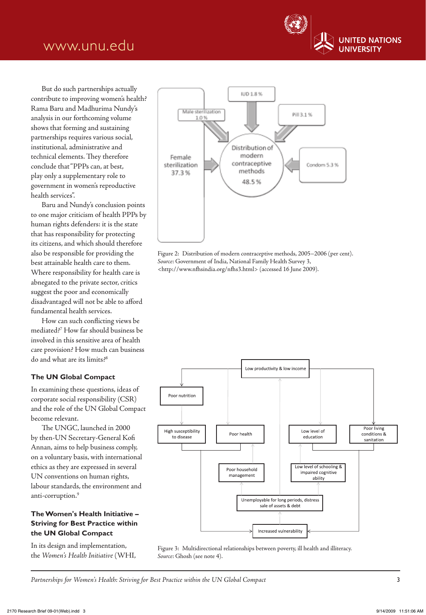

But do such partnerships actually contribute to improving women's health? Rama Baru and Madhurima Nundy's analysis in our forthcoming volume shows that forming and sustaining partnerships requires various social, institutional, administrative and technical elements. They therefore conclude that "PPPs can, at best, play only a supplementary role to government in women's reproductive health services".

Baru and Nundy's conclusion points to one major criticism of health PPPs by human rights defenders: it is the state that has responsibility for protecting its citizens, and which should therefore also be responsible for providing the best attainable health care to them. Where responsibility for health care is abnegated to the private sector, critics suggest the poor and economically disadvantaged will not be able to afford fundamental health services.

How can such conflicting views be mediated?7 How far should business be involved in this sensitive area of health care provision? How much can business do and what are its limits?8

#### **The UN Global Compact**

In examining these questions, ideas of corporate social responsibility (CSR) and the role of the UN Global Compact become relevant.

The UNGC, launched in 2000 by then-UN Secretary-General Kofi Annan, aims to help business comply, on a voluntary basis, with international ethics as they are expressed in several UN conventions on human rights, labour standards, the environment and anti-corruption.<sup>9</sup>

#### **The Women's Health Initiative – Striving for Best Practice within the UN Global Compact**

In its design and implementation, the *Women's Health Initiative* (WHI,



Figure 2: Distribution of modern contraceptive methods, 2005–2006 (per cent). *Source*: Government of India, National Family Health Survey 3, <http://www.nfhsindia.org/nfhs3.html> (accessed 16 June 2009).



Figure 3: Multidirectional relationships between poverty, ill health and illiteracy. *Source*: Ghosh (see note 4).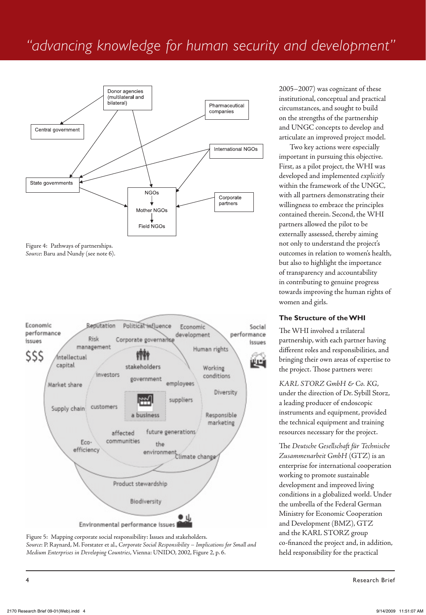# *"advancing knowledge for human security and development"*



Figure 4: Pathways of partnerships. *Source*: Baru and Nundy (see note 6).





2005–2007) was cognizant of these institutional, conceptual and practical circumstances, and sought to build on the strengths of the partnership and UNGC concepts to develop and articulate an improved project model.

Two key actions were especially important in pursuing this objective. First, as a pilot project, the WHI was developed and implemented *explicitly* within the framework of the UNGC, with all partners demonstrating their willingness to embrace the principles contained therein. Second, the WHI partners allowed the pilot to be externally assessed, thereby aiming not only to understand the project's outcomes in relation to women's health, but also to highlight the importance of transparency and accountability in contributing to genuine progress towards improving the human rights of women and girls.

#### **The Structure of the WHI**

The WHI involved a trilateral partnership, with each partner having different roles and responsibilities, and bringing their own areas of expertise to the project. Those partners were:

*KARL STORZ GmbH & Co. KG*, under the direction of Dr. Sybill Storz, a leading producer of endoscopic instruments and equipment, provided the technical equipment and training resources necessary for the project.

The *Deutsche Gesellschaft für Technische Zusammenarbeit GmbH* (GTZ) is an enterprise for international cooperation working to promote sustainable development and improved living conditions in a globalized world. Under the umbrella of the Federal German Ministry for Economic Cooperation and Development (BMZ), GTZ and the KARL STORZ group co-financed the project and, in addition, held responsibility for the practical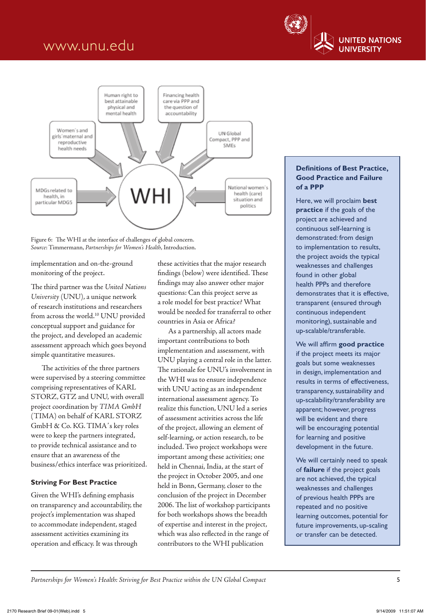



Figure 6: The WHI at the interface of challenges of global concern. *Source*: Timmermann, *Partnerships for Women's Health*, Introduction.

implementation and on-the-ground monitoring of the project.

The third partner was the *United Nations University* (UNU), a unique network of research institutions and researchers from across the world.<sup>10</sup> UNU provided conceptual support and guidance for the project, and developed an academic assessment approach which goes beyond simple quantitative measures.

The activities of the three partners were supervised by a steering committee comprising representatives of KARL STORZ, GTZ and UNU, with overall project coordination by *TIMA GmbH* (TIMA) on behalf of KARL STORZ GmbH & Co. KG. TIMA's key roles were to keep the partners integrated, to provide technical assistance and to ensure that an awareness of the business/ethics interface was prioritized.

#### **Striving For Best Practice**

Given the WHI's defining emphasis on transparency and accountability, the project's implementation was shaped to accommodate independent, staged assessment activities examining its operation and efficacy. It was through

these activities that the major research findings (below) were identified. These findings may also answer other major questions: Can this project serve as a role model for best practice? What would be needed for transferral to other countries in Asia or Africa?

As a partnership, all actors made important contributions to both implementation and assessment, with UNU playing a central role in the latter. The rationale for UNU's involvement in the WHI was to ensure independence with UNU acting as an independent international assessment agency. To realize this function, UNU led a series of assessment activities across the life of the project, allowing an element of self-learning, or action research, to be included. Two project workshops were important among these activities; one held in Chennai, India, at the start of the project in October 2005, and one held in Bonn, Germany, closer to the conclusion of the project in December 2006. The list of workshop participants for both workshops shows the breadth of expertise and interest in the project, which was also reflected in the range of contributors to the WHI publication

#### **Definitions of Best Practice, Good Practice and Failure of a PPP**

Here, we will proclaim **best practice** if the goals of the project are achieved and continuous self-learning is demonstrated: from design to implementation to results, the project avoids the typical weaknesses and challenges found in other global health PPPs and therefore demonstrates that it is effective, transparent (ensured through continuous independent monitoring), sustainable and up-scalable/transferable.

We will affirm **good practice**  if the project meets its major goals but some weaknesses in design, implementation and results in terms of effectiveness, transparency, sustainability and up-scalability/transferability are apparent; however, progress will be evident and there will be encouraging potential for learning and positive development in the future.

We will certainly need to speak of **failure** if the project goals are not achieved, the typical weaknesses and challenges of previous health PPPs are repeated and no positive learning outcomes, potential for future improvements, up-scaling or transfer can be detected.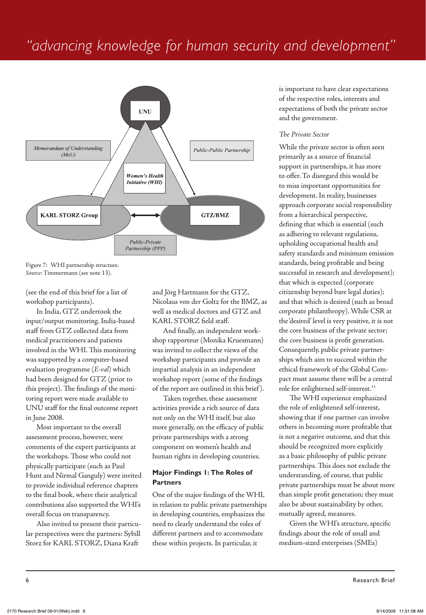# *"advancing knowledge for human security and development"*



Figure 7: WHI partnership structure. *Source*: Timmermann (see note 13).

(see the end of this brief for a list of workshop participants).

In India, GTZ undertook the input/output monitoring. India-based staff from GTZ collected data from medical practitioners and patients involved in the WHI. This monitoring was supported by a computer-based evaluation programme (*E-val*) which had been designed for GTZ (prior to this project). The findings of the monitoring report were made available to UNU staff for the final outcome report in June 2008.

Most important to the overall assessment process, however, were comments of the expert participants at the workshops. Those who could not physically participate (such as Paul Hunt and Nirmal Ganguly) were invited to provide individual reference chapters to the final book, where their analytical contributions also supported the WHI's overall focus on transparency.

Also invited to present their particular perspectives were the partners: Sybill Storz for KARL STORZ, Diana Kraft

and Jörg Hartmann for the GTZ, Nicolaus von der Goltz for the BMZ, as well as medical doctors and GTZ and KARL STORZ field staff.

And finally, an independent workshop rapporteur (Monika Kruesmann) was invited to collect the views of the workshop participants and provide an impartial analysis in an independent workshop report (some of the findings of the report are outlined in this brief ).

Taken together, these assessment activities provide a rich source of data not only on the WHI itself, but also more generally, on the efficacy of public private partnerships with a strong component on women's health and human rights in developing countries.

#### **Major Findings 1: The Roles of Partners**

One of the major findings of the WHI, in relation to public private partnerships in developing countries, emphasizes the need to clearly understand the roles of different partners and to accommodate these within projects. In particular, it

is important to have clear expectations of the respective roles, interests and expectations of both the private sector and the government.

#### *The Private Sector*

While the private sector is often seen primarily as a source of financial support in partnerships, it has more to offer. To disregard this would be to miss important opportunities for development. In reality, businesses approach corporate social responsibility from a hierarchical perspective, defining that which is essential (such as adhering to relevant regulations, upholding occupational health and safety standards and minimum emission standards, being profitable and being successful in research and development); that which is expected (corporate citizenship beyond bare legal duties); and that which is desired (such as broad corporate philanthropy). While CSR at the 'desired' level is very positive, it is not the core business of the private sector; the core business is profit generation. Consequently, public private partnerships which aim to succeed within the ethical framework of the Global Compact must assume there will be a central role for enlightened self-interest.<sup>11</sup>

The WHI experience emphasized the role of enlightened self-interest, showing that if one partner can involve others in becoming more profitable that is not a negative outcome, and that this should be recognized more explicitly as a basic philosophy of public private partnerships. This does not exclude the understanding, of course, that public private partnerships must be about more than simple profit generation; they must also be about sustainability by other, mutually agreed, measures.

Given the WHI's structure, specific findings about the role of small and medium-sized enterprises (SMEs)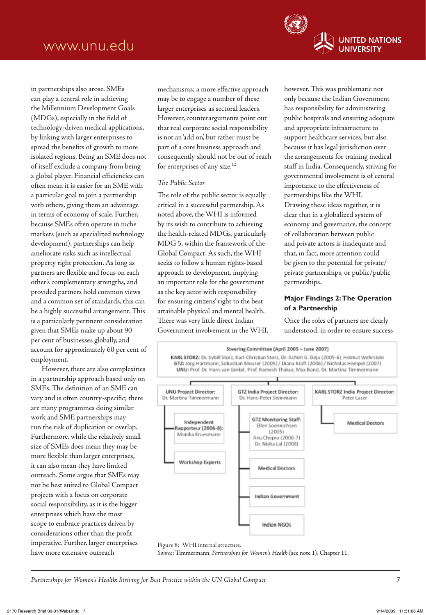**UNITED NATIONS UNIVERSITY** 

in partnerships also arose. SMEs can play a central role in achieving the Millennium Development Goals (MDGs), especially in the field of technology-driven medical applications, by linking with larger enterprises to spread the benefits of growth to more isolated regions. Being an SME does not of itself exclude a company from being a global player. Financial efficiencies can often mean it is easier for an SME with a particular goal to join a partnership with others, giving them an advantage in terms of economy of scale. Further, because SMEs often operate in niche markets (such as specialized technology development), partnerships can help ameliorate risks such as intellectual property right protection. As long as partners are flexible and focus on each other's complementary strengths, and provided partners hold common views and a common set of standards, this can be a highly successful arrangement. This is a particularly pertinent consideration given that SMEs make up about 90 per cent of businesses globally, and account for approximately 60 per cent of employment.

However, there are also complexities in a partnership approach based only on SMEs. The definition of an SME can vary and is often country-specific; there are many programmes doing similar work and SME partnerships may run the risk of duplication or overlap. Furthermore, while the relatively small size of SMEs does mean they may be more flexible than larger enterprises, it can also mean they have limited outreach. Some argue that SMEs may not be best suited to Global Compact projects with a focus on corporate social responsibility, as it is the bigger enterprises which have the most scope to embrace practices driven by considerations other than the profit imperative. Further, larger enterprises have more extensive outreach

mechanisms; a more effective approach may be to engage a number of these larger enterprises as sectoral leaders. However, counterarguments point out that real corporate social responsibility is not an 'add on', but rather must be part of a core business approach and consequently should not be out of reach for enterprises of any size.<sup>12</sup>

#### *The Public Sector*

The role of the public sector is equally critical in a successful partnership. As noted above, the WHI is informed by its wish to contribute to achieving the health-related MDGs, particularly MDG 5, within the framework of the Global Compact. As such, the WHI seeks to follow a human rights-based approach to development, implying an important role for the government as the key actor with responsibility for ensuring citizens' right to the best attainable physical and mental health. There was very little direct Indian Government involvement in the WHI, however. This was problematic not only because the Indian Government has responsibility for administering public hospitals and ensuring adequate and appropriate infrastructure to support healthcare services, but also because it has legal jurisdiction over the arrangements for training medical staff in India. Consequently, striving for governmental involvement is of central importance to the effectiveness of partnerships like the WHI. Drawing these ideas together, it is clear that in a globalized system of economy and governance, the concept of collaboration between public and private actors is inadequate and that, in fact, more attention could be given to the potential for private/ private partnerships, or public/public partnerships.

#### **Major Findings 2: The Operation of a Partnership**

Once the roles of partners are clearly understood, in order to ensure success



#### Figure 8: WHI internal structure.

*Source*: Timmermann, *Partnerships for Women's Health* (see note 1), Chapter 11.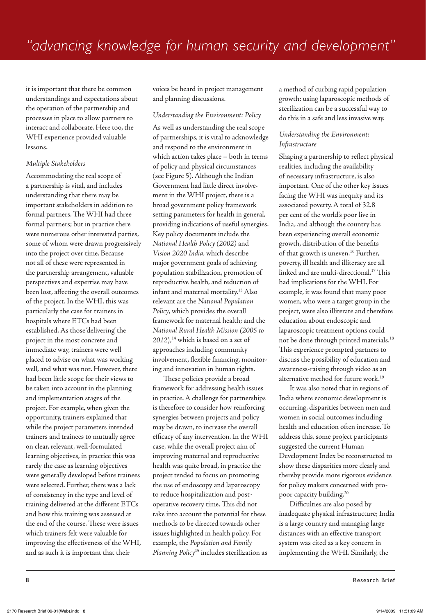it is important that there be common understandings and expectations about the operation of the partnership and processes in place to allow partners to interact and collaborate. Here too, the WHI experience provided valuable lessons.

#### *Multiple Stakeholders*

Accommodating the real scope of a partnership is vital, and includes understanding that there may be important stakeholders in addition to formal partners. The WHI had three formal partners; but in practice there were numerous other interested parties, some of whom were drawn progressively into the project over time. Because not all of these were represented in the partnership arrangement, valuable perspectives and expertise may have been lost, affecting the overall outcomes of the project. In the WHI, this was particularly the case for trainers in hospitals where ETCs had been established. As those 'delivering' the project in the most concrete and immediate way, trainers were well placed to advise on what was working well, and what was not. However, there had been little scope for their views to be taken into account in the planning and implementation stages of the project. For example, when given the opportunity, trainers explained that while the project parameters intended trainers and trainees to mutually agree on clear, relevant, well-formulated learning objectives, in practice this was rarely the case as learning objectives were generally developed before trainees were selected. Further, there was a lack of consistency in the type and level of training delivered at the different ETCs and how this training was assessed at the end of the course. These were issues which trainers felt were valuable for improving the effectiveness of the WHI, and as such it is important that their

voices be heard in project management and planning discussions.

#### *Understanding the Environment: Policy*

As well as understanding the real scope of partnerships, it is vital to acknowledge and respond to the environment in which action takes place – both in terms of policy and physical circumstances (see Figure 5). Although the Indian Government had little direct involvement in the WHI project, there is a broad government policy framework setting parameters for health in general, providing indications of useful synergies. Key policy documents include the *National Health Policy (2002)* and *Vision 2020 India*, which describe major government goals of achieving population stabilization, promotion of reproductive health, and reduction of infant and maternal mortality.13 Also relevant are the *National Population Policy*, which provides the overall framework for maternal health; and the *National Rural Health Mission (2005 to*  2012),<sup>14</sup> which is based on a set of approaches including community involvement, flexible financing, monitoring and innovation in human rights.

These policies provide a broad framework for addressing health issues in practice. A challenge for partnerships is therefore to consider how reinforcing synergies between projects and policy may be drawn, to increase the overall efficacy of any intervention. In the WHI case, while the overall project aim of improving maternal and reproductive health was quite broad, in practice the project tended to focus on promoting the use of endoscopy and laparoscopy to reduce hospitalization and postoperative recovery time. This did not take into account the potential for these methods to be directed towards other issues highlighted in health policy. For example, the *Population and Family Planning Policy*15 includes sterilization as a method of curbing rapid population growth; using laparoscopic methods of sterilization can be a successful way to do this in a safe and less invasive way.

#### *Understanding the Environment: Infrastructure*

Shaping a partnership to reflect physical realities, including the availability of necessary infrastructure, is also important. One of the other key issues facing the WHI was inequity and its associated poverty. A total of 32.8 per cent of the world's poor live in India, and although the country has been experiencing overall economic growth, distribution of the benefits of that growth is uneven.<sup>16</sup> Further, poverty, ill health and illiteracy are all linked and are multi-directional.17 This had implications for the WHI. For example, it was found that many poor women, who were a target group in the project, were also illiterate and therefore education about endoscopic and laparoscopic treatment options could not be done through printed materials.18 This experience prompted partners to discuss the possibility of education and awareness-raising through video as an alternative method for future work.<sup>19</sup>

It was also noted that in regions of India where economic development is occurring, disparities between men and women in social outcomes including health and education often increase. To address this, some project participants suggested the current Human Development Index be reconstructed to show these disparities more clearly and thereby provide more rigorous evidence for policy makers concerned with propoor capacity building.20

Difficulties are also posed by inadequate physical infrastructure; India is a large country and managing large distances with an effective transport system was cited as a key concern in implementing the WHI. Similarly, the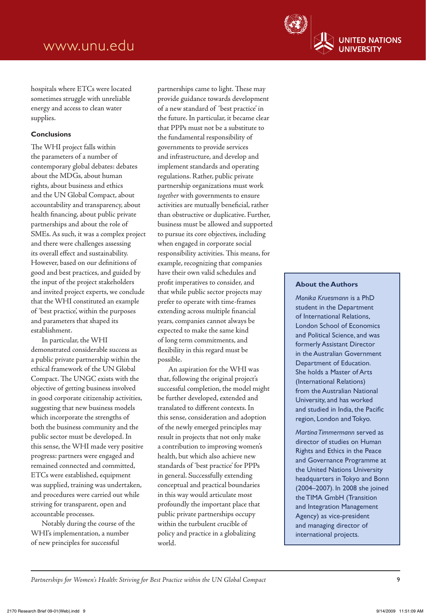

hospitals where ETCs were located sometimes struggle with unreliable energy and access to clean water supplies.

#### **Conclusions**

The WHI project falls within the parameters of a number of contemporary global debates: debates about the MDGs, about human rights, about business and ethics and the UN Global Compact, about accountability and transparency, about health financing, about public private partnerships and about the role of SMEs. As such, it was a complex project and there were challenges assessing its overall effect and sustainability. However, based on our definitions of good and best practices, and guided by the input of the project stakeholders and invited project experts, we conclude that the WHI constituted an example of 'best practice', within the purposes and parameters that shaped its establishment.

In particular, the WHI demonstrated considerable success as a public private partnership within the ethical framework of the UN Global Compact. The UNGC exists with the objective of getting business involved in good corporate citizenship activities, suggesting that new business models which incorporate the strengths of both the business community and the public sector must be developed. In this sense, the WHI made very positive progress: partners were engaged and remained connected and committed, ETCs were established, equipment was supplied, training was undertaken, and procedures were carried out while striving for transparent, open and accountable processes.

Notably during the course of the WHI's implementation, a number of new principles for successful

partnerships came to light. These may provide guidance towards development of a new standard of 'best practice' in the future. In particular, it became clear that PPPs must not be a substitute to the fundamental responsibility of governments to provide services and infrastructure, and develop and implement standards and operating regulations. Rather, public private partnership organizations must work *together* with governments to ensure activities are mutually beneficial, rather than obstructive or duplicative. Further, business must be allowed and supported to pursue its core objectives, including when engaged in corporate social responsibility activities. This means, for example, recognizing that companies have their own valid schedules and profit imperatives to consider, and that while public sector projects may prefer to operate with time-frames extending across multiple financial years, companies cannot always be expected to make the same kind of long term commitments, and flexibility in this regard must be possible.

An aspiration for the WHI was that, following the original project's successful completion, the model might be further developed, extended and translated to different contexts. In this sense, consideration and adoption of the newly emerged principles may result in projects that not only make a contribution to improving women's health, but which also achieve new standards of 'best practice' for PPPs in general. Successfully extending conceptual and practical boundaries in this way would articulate most profoundly the important place that public private partnerships occupy within the turbulent crucible of policy and practice in a globalizing world.

#### **About the Authors**

*Monika Kruesmann* is a PhD student in the Department of International Relations, London School of Economics and Political Science, and was formerly Assistant Director in the Australian Government Department of Education. She holds a Master of Arts (International Relations) from the Australian National University, and has worked and studied in India, the Pacific region, London and Tokyo.

*Martina Timmermann* served as director of studies on Human Rights and Ethics in the Peace and Governance Programme at the United Nations University headquarters in Tokyo and Bonn (2004–2007). In 2008 she joined the TIMA GmbH (Transition and Integration Management Agency) as vice-president and managing director of international projects.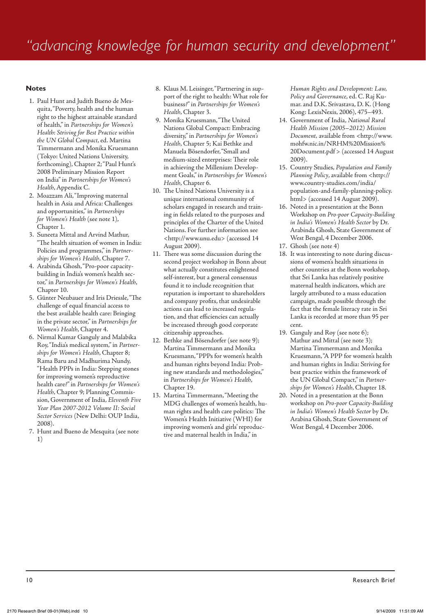#### **Notes**

- 1. Paul Hunt and Judith Bueno de Mesquita, "Poverty, health and the human right to the highest attainable standard of health," in *Partnerships for Women's Health: Striving for Best Practice within the UN Global Compact*, ed. Martina Timmermann and Monika Kruesmann (Tokyo: United Nations University, forthcoming), Chapter 2; "Paul Hunt's 2008 Preliminary Mission Report on India" in *Partnerships for Women's Health*, Appendix C.
- 2. Moazzam Ali, "Improving maternal health in Asia and Africa: Challenges and opportunities," in *Partnerships for Women's Health* (see note 1), Chapter 1.
- 3. Suneeta Mittal and Arvind Mathur, "The health situation of women in India: Policies and programmes," in *Partnerships for Women's Health*, Chapter 7.
- 4. Arabinda Ghosh, "Pro-poor capacitybuilding in India's women's health sector," in *Partnerships for Women's Health*, Chapter 10.
- 5. Günter Neubauer and Iris Driessle, "The challenge of equal financial access to the best available health care: Bringing in the private sector," in *Partnerships for Women's Health*, Chapter 4.
- 6. Nirmal Kumar Ganguly and Malabika Roy, "India's medical system," in *Partnerships for Women's Health*, Chapter 8; Rama Baru and Madhurima Nundy, "Health PPPs in India: Stepping stones for improving women's reproductive health care?" in *Partnerships for Women's Health*, Chapter 9; Planning Commission, Government of India, *Eleventh Five Year Plan 2007-2012 Volume II: Social Sector Services* (New Delhi: OUP India, 2008).
- 7. Hunt and Bueno de Mesquita (see note 1)
- 8. Klaus M. Leisinger, "Partnering in support of the right to health: What role for business?" in *Partnerships for Women's Health*, Chapter 3.
- 9. Monika Kruesmann, "The United Nations Global Compact: Embracing diversity," in *Partnerships for Women's Health*, Chapter 5; Kai Bethke and Manuela Bösendorfer, "Small and medium-sized enterprises: Their role in achieving the Millenium Development Goals," in *Partnerships for Women's Health*, Chapter 6.
- 10. The United Nations University is a unique international community of scholars engaged in research and training in fields related to the purposes and principles of the Charter of the United Nations. For further information see <http://www.unu.edu> (accessed 14 August 2009).
- 11. There was some discussion during the second project workshop in Bonn about what actually constitutes enlightened self-interest, but a general consensus found it to include recognition that reputation is important to shareholders and company profits, that undesirable actions can lead to increased regulation, and that efficiencies can actually be increased through good corporate citizenship approaches.
- 12. Bethke and Bösendorfer (see note 9); Martina Timmermann and Monika Kruesmann, "PPPs for women's health and human rights beyond India: Probing new standards and methodologies," in *Partnerships for Women's Health*, Chapter 19.
- 13. Martina Timmermann, "Meeting the MDG challenges of women's health, human rights and health care politics: The Women's Health Initiative (WHI) for improving women's and girls' reproductive and maternal health in India," in

*Human Rights and Development: Law, Policy and Governance*, ed. C. Raj Kumar. and D.K. Srivastava, D. K. (Hong Kong: LexisNexis, 2006), 475–493.

- 14. Government of India, *National Rural Health Mission (2005*–*2012) Mission*  Document, available from <http://www. mohfw.nic.in/NRHM%20Mission% 20Document.pdf> (accessed 14 August 2009).
- 15. Country Studies, *Population and Family Planning Policy*, available from <http:// www.country-studies.com/india/ population-and-family-planning-policy. html> (accessed 14 August 2009).
- 16. Noted in a presentation at the Bonn Workshop on *Pro-poor Capacity-Building in India's Women's Health Sector* by Dr. Arabinda Ghosh, State Government of West Bengal, 4 December 2006.
- 17. Ghosh (see note 4)
- 18. It was interesting to note during discussions of women's health situations in other countries at the Bonn workshop, that Sri Lanka has relatively positive maternal health indicators, which are largely attributed to a mass education campaign, made possible through the fact that the female literacy rate in Sri Lanka is recorded at more than 95 per cent.
- 19. Ganguly and Roy (see note 6); Mathur and Mittal (see note 3); Martina Timmermann and Monika Kruesmann, "A PPP for women's health and human rights in India: Striving for best practice within the framework of the UN Global Compact," in *Partnerships for Women's Health*, Chapter 18.
- 20. Noted in a presentation at the Bonn workshop on *Pro-poor Capacity-Building in India's Women's Health Sector* by Dr. Arabina Ghosh, State Government of West Bengal, 4 December 2006.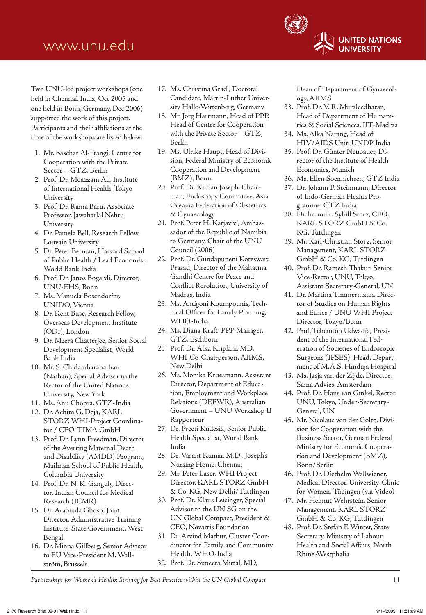Two UNU-led project workshops (one held in Chennai, India, Oct 2005 and one held in Bonn, Germany, Dec 2006) supported the work of this project. Participants and their affiliations at the time of the workshops are listed below:

- 1. Mr. Baschar Al-Frangi, Centre for Cooperation with the Private Sector – GTZ, Berlin
- 2. Prof. Dr. Moazzam Ali, Institute of International Health, Tokyo University
- 3. Prof. Dr. Rama Baru, Associate Professor, Jawaharlal Nehru University
- 4. Dr. Pamela Bell, Research Fellow, Louvain University
- 5. Dr. Peter Berman, Harvard School of Public Health / Lead Economist, World Bank India
- 6. Prof. Dr. Janos Bogardi, Director, UNU-EHS, Bonn
- 7. Ms. Manuela Bösendorfer, UNIDO, Vienna
- 8. Dr. Kent Buse, Research Fellow, Overseas Development Institute (ODI), London
- 9. Dr. Meera Chatterjee, Senior Social Development Specialist, World Bank India
- 10. Mr. S. Chidambaranathan (Nathan), Special Advisor to the Rector of the United Nations University, New York
- 11. Ms. Anu Chopra, GTZ-India
- 12. Dr. Achim G. Deja, KARL STORZ WHI-Project Coordinator / CEO, TIMA GmbH
- 13. Prof. Dr. Lynn Freedman, Director of the Averting Maternal Death and Disability (AMDD) Program, Mailman School of Public Health, Columbia University
- 14. Prof. Dr. N. K. Ganguly, Director, Indian Council for Medical Research (ICMR)
- 15. Dr. Arabinda Ghosh, Joint Director, Administrative Training Institute, State Government, West Bengal
- 16. Dr. Minna Gillberg, Senior Advisor to EU Vice-President M. Wallström, Brussels
- 17. Ms. Christina Gradl, Doctoral Candidate, Martin-Luther University Halle-Wittenberg, Germany
- 18. Mr. Jörg Hartmann, Head of PPP, Head of Centre for Cooperation with the Private Sector – GTZ, Berlin
- 19. Ms. Ulrike Haupt, Head of Division, Federal Ministry of Economic Cooperation and Development (BMZ), Bonn
- 20. Prof. Dr. Kurian Joseph, Chairman, Endoscopy Committee, Asia Oceania Federation of Obstetrics & Gynaecology
- 21. Prof. Peter H. Katjavivi, Ambassador of the Republic of Namibia to Germany, Chair of the UNU Council (2006)
- 22. Prof. Dr. Gundapuneni Koteswara Prasad, Director of the Mahatma Gandhi Centre for Peace and Conflict Resolution, University of Madras, India
- 23. Ms. Antigoni Koumpounis, Technical Officer for Family Planning, WHO-India
- 24. Ms. Diana Kraft, PPP Manager, GTZ, Eschborn
- 25. Prof. Dr. Alka Kriplani, MD, WHI-Co-Chairperson, AIIMS, New Delhi
- 26. Ms. Monika Kruesmann, Assistant Director, Department of Education, Employment and Workplace Relations (DEEWR), Australian Government – UNU Workshop II Rapporteur
- 27. Dr. Preeti Kudesia, Senior Public Health Specialist, World Bank India
- 28. Dr. Vasant Kumar, M.D., Joseph's Nursing Home, Chennai
- 29. Mr. Peter Laser, WHI Project Director, KARL STORZ GmbH & Co. KG, New Delhi/Tuttlingen
- 30. Prof. Dr. Klaus Leisinger, Special Advisor to the UN SG on the UN Global Compact, President & CEO, Novartis Foundation
- 31. Dr. Arvind Mathur, Cluster Coordinator for 'Family and Community Health,' WHO-India
- 32. Prof. Dr. Suneeta Mittal, MD,

Dean of Department of Gynaecology, AIIMS

- 33. Prof. Dr. V. R. Muraleedharan, Head of Department of Humanities & Social Sciences, IIT-Madras
- 34. Ms. Alka Narang, Head of HIV/AIDS Unit, UNDP India
- 35. Prof. Dr. Günter Neubauer, Director of the Institute of Health Economics, Munich
- 36. Ms. Ellen Soennichsen, GTZ India
- 37. Dr. Johann P. Steinmann, Director of Indo-German Health Programme, GTZ India
- 38. Dr. hc. mult. Sybill Storz, CEO, KARL STORZ GmbH & Co. KG, Tuttlingen
- 39. Mr. Karl-Christian Storz, Senior Management, KARL STORZ GmbH & Co. KG, Tuttlingen
- 40. Prof. Dr. Ramesh Thakur, Senior Vice-Rector, UNU, Tokyo, Assistant Secretary-General, UN
- 41. Dr. Martina Timmermann, Director of Studies on Human Rights and Ethics / UNU WHI Project Director, Tokyo/Bonn
- 42. Prof. Tehemton Udwadia, President of the International Federation of Societies of Endoscopic Surgeons (IFSES), Head, Department of M.A.S. Hinduja Hospital
- 43. Ms. Jasja van der Zijde, Director, Sama Advies, Amsterdam
- 44. Prof. Dr. Hans van Ginkel, Rector, UNU, Tokyo, Under-Secretary-General, UN
- 45. Mr. Nicolaus von der Goltz, Division for Cooperation with the Business Sector, German Federal Ministry for Economic Cooperation and Development (BMZ), Bonn/Berlin
- 46. Prof. Dr. Diethelm Wallwiener, Medical Director, University-Clinic for Women, Tübingen (via Video)
- 47. Mr. Helmut Wehrstein, Senior Management, KARL STORZ GmbH & Co. KG, Tuttlingen
- 48. Prof. Dr. Stefan F. Winter, State Secretary, Ministry of Labour, Health and Social Affairs, North Rhine-Westphalia

*Partnerships for Women's Health: Striving for Best Practice within the UN Global Compact* 11

**UNITED NATIONS UNIVERSITY**